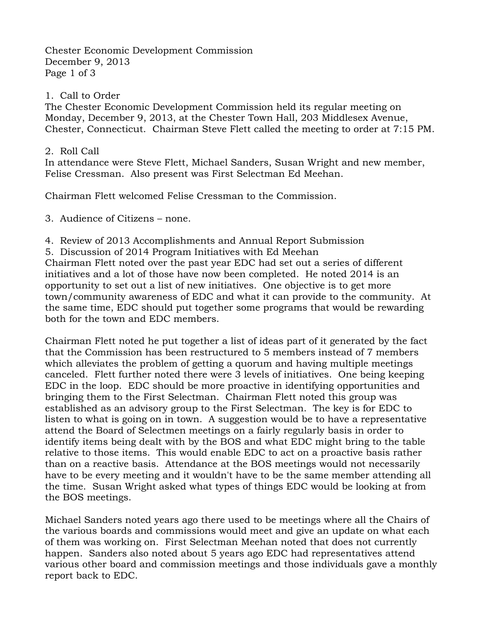Chester Economic Development Commission December 9, 2013 Page 1 of 3

## 1. Call to Order

The Chester Economic Development Commission held its regular meeting on Monday, December 9, 2013, at the Chester Town Hall, 203 Middlesex Avenue, Chester, Connecticut. Chairman Steve Flett called the meeting to order at 7:15 PM.

## 2. Roll Call

In attendance were Steve Flett, Michael Sanders, Susan Wright and new member, Felise Cressman. Also present was First Selectman Ed Meehan.

Chairman Flett welcomed Felise Cressman to the Commission.

3. Audience of Citizens – none.

4. Review of 2013 Accomplishments and Annual Report Submission

5. Discussion of 2014 Program Initiatives with Ed Meehan

Chairman Flett noted over the past year EDC had set out a series of different initiatives and a lot of those have now been completed. He noted 2014 is an opportunity to set out a list of new initiatives. One objective is to get more town/community awareness of EDC and what it can provide to the community. At the same time, EDC should put together some programs that would be rewarding both for the town and EDC members.

Chairman Flett noted he put together a list of ideas part of it generated by the fact that the Commission has been restructured to 5 members instead of 7 members which alleviates the problem of getting a quorum and having multiple meetings canceled. Flett further noted there were 3 levels of initiatives. One being keeping EDC in the loop. EDC should be more proactive in identifying opportunities and bringing them to the First Selectman. Chairman Flett noted this group was established as an advisory group to the First Selectman. The key is for EDC to listen to what is going on in town. A suggestion would be to have a representative attend the Board of Selectmen meetings on a fairly regularly basis in order to identify items being dealt with by the BOS and what EDC might bring to the table relative to those items. This would enable EDC to act on a proactive basis rather than on a reactive basis. Attendance at the BOS meetings would not necessarily have to be every meeting and it wouldn't have to be the same member attending all the time. Susan Wright asked what types of things EDC would be looking at from the BOS meetings.

Michael Sanders noted years ago there used to be meetings where all the Chairs of the various boards and commissions would meet and give an update on what each of them was working on. First Selectman Meehan noted that does not currently happen. Sanders also noted about 5 years ago EDC had representatives attend various other board and commission meetings and those individuals gave a monthly report back to EDC.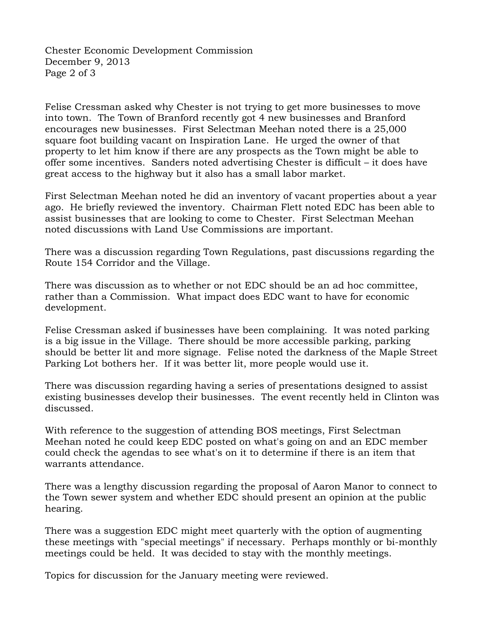Chester Economic Development Commission December 9, 2013 Page 2 of 3

Felise Cressman asked why Chester is not trying to get more businesses to move into town. The Town of Branford recently got 4 new businesses and Branford encourages new businesses. First Selectman Meehan noted there is a 25,000 square foot building vacant on Inspiration Lane. He urged the owner of that property to let him know if there are any prospects as the Town might be able to offer some incentives. Sanders noted advertising Chester is difficult – it does have great access to the highway but it also has a small labor market.

First Selectman Meehan noted he did an inventory of vacant properties about a year ago. He briefly reviewed the inventory. Chairman Flett noted EDC has been able to assist businesses that are looking to come to Chester. First Selectman Meehan noted discussions with Land Use Commissions are important.

There was a discussion regarding Town Regulations, past discussions regarding the Route 154 Corridor and the Village.

There was discussion as to whether or not EDC should be an ad hoc committee, rather than a Commission. What impact does EDC want to have for economic development.

Felise Cressman asked if businesses have been complaining. It was noted parking is a big issue in the Village. There should be more accessible parking, parking should be better lit and more signage. Felise noted the darkness of the Maple Street Parking Lot bothers her. If it was better lit, more people would use it.

There was discussion regarding having a series of presentations designed to assist existing businesses develop their businesses. The event recently held in Clinton was discussed.

With reference to the suggestion of attending BOS meetings, First Selectman Meehan noted he could keep EDC posted on what's going on and an EDC member could check the agendas to see what's on it to determine if there is an item that warrants attendance.

There was a lengthy discussion regarding the proposal of Aaron Manor to connect to the Town sewer system and whether EDC should present an opinion at the public hearing.

There was a suggestion EDC might meet quarterly with the option of augmenting these meetings with "special meetings" if necessary. Perhaps monthly or bi-monthly meetings could be held. It was decided to stay with the monthly meetings.

Topics for discussion for the January meeting were reviewed.